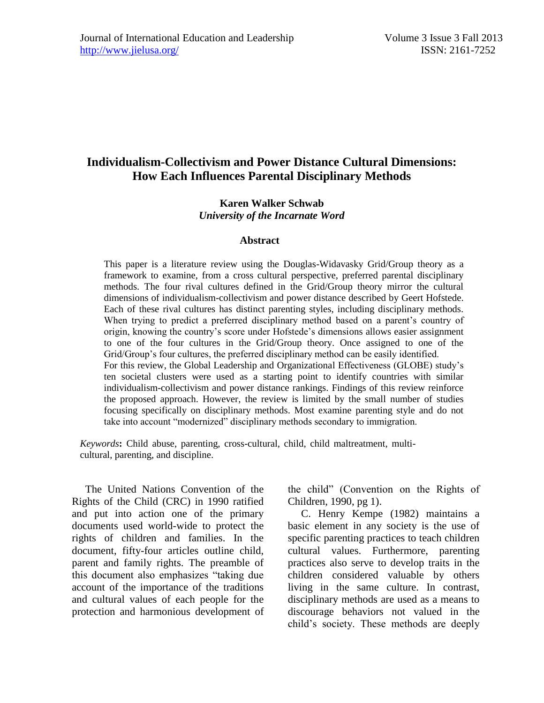# **Individualism-Collectivism and Power Distance Cultural Dimensions: How Each Influences Parental Disciplinary Methods**

#### **Karen Walker Schwab** *University of the Incarnate Word*

#### **Abstract**

This paper is a literature review using the Douglas-Widavasky Grid/Group theory as a framework to examine, from a cross cultural perspective, preferred parental disciplinary methods. The four rival cultures defined in the Grid/Group theory mirror the cultural dimensions of individualism-collectivism and power distance described by Geert Hofstede. Each of these rival cultures has distinct parenting styles, including disciplinary methods. When trying to predict a preferred disciplinary method based on a parent's country of origin, knowing the country's score under Hofstede's dimensions allows easier assignment to one of the four cultures in the Grid/Group theory. Once assigned to one of the Grid/Group's four cultures, the preferred disciplinary method can be easily identified. For this review, the Global Leadership and Organizational Effectiveness (GLOBE) study's ten societal clusters were used as a starting point to identify countries with similar individualism-collectivism and power distance rankings. Findings of this review reinforce the proposed approach. However, the review is limited by the small number of studies focusing specifically on disciplinary methods. Most examine parenting style and do not take into account "modernized" disciplinary methods secondary to immigration.

*Keywords***:** Child abuse, parenting, cross-cultural, child, child maltreatment, multicultural, parenting, and discipline.

 The United Nations Convention of the Rights of the Child (CRC) in 1990 ratified and put into action one of the primary documents used world-wide to protect the rights of children and families. In the document, fifty-four articles outline child, parent and family rights. The preamble of this document also emphasizes "taking due account of the importance of the traditions and cultural values of each people for the protection and harmonious development of the child" (Convention on the Rights of Children, 1990, pg 1).

 C. Henry Kempe (1982) maintains a basic element in any society is the use of specific parenting practices to teach children cultural values. Furthermore, parenting practices also serve to develop traits in the children considered valuable by others living in the same culture. In contrast, disciplinary methods are used as a means to discourage behaviors not valued in the child's society. These methods are deeply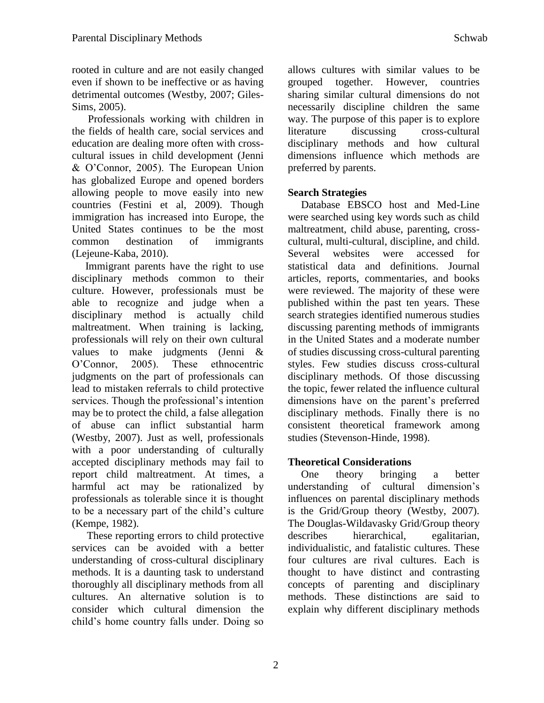rooted in culture and are not easily changed even if shown to be ineffective or as having detrimental outcomes (Westby, 2007; Giles-Sims, 2005).

 Professionals working with children in the fields of health care, social services and education are dealing more often with crosscultural issues in child development (Jenni & O'Connor, 2005). The European Union has globalized Europe and opened borders allowing people to move easily into new countries (Festini et al, 2009). Though immigration has increased into Europe, the United States continues to be the most common destination of immigrants (Lejeune-Kaba, 2010).

 Immigrant parents have the right to use disciplinary methods common to their culture. However, professionals must be able to recognize and judge when a disciplinary method is actually child maltreatment. When training is lacking, professionals will rely on their own cultural values to make judgments (Jenni & O'Connor, 2005). These ethnocentric judgments on the part of professionals can lead to mistaken referrals to child protective services. Though the professional's intention may be to protect the child, a false allegation of abuse can inflict substantial harm (Westby, 2007). Just as well, professionals with a poor understanding of culturally accepted disciplinary methods may fail to report child maltreatment. At times, a harmful act may be rationalized by professionals as tolerable since it is thought to be a necessary part of the child's culture (Kempe, 1982).

 These reporting errors to child protective services can be avoided with a better understanding of cross-cultural disciplinary methods. It is a daunting task to understand thoroughly all disciplinary methods from all cultures. An alternative solution is to consider which cultural dimension the child's home country falls under. Doing so allows cultures with similar values to be grouped together. However, countries sharing similar cultural dimensions do not necessarily discipline children the same way. The purpose of this paper is to explore literature discussing cross-cultural disciplinary methods and how cultural dimensions influence which methods are preferred by parents.

## **Search Strategies**

 Database EBSCO host and Med-Line were searched using key words such as child maltreatment, child abuse, parenting, crosscultural, multi-cultural, discipline, and child. Several websites were accessed for statistical data and definitions. Journal articles, reports, commentaries, and books were reviewed. The majority of these were published within the past ten years. These search strategies identified numerous studies discussing parenting methods of immigrants in the United States and a moderate number of studies discussing cross-cultural parenting styles. Few studies discuss cross-cultural disciplinary methods. Of those discussing the topic, fewer related the influence cultural dimensions have on the parent's preferred disciplinary methods. Finally there is no consistent theoretical framework among studies (Stevenson-Hinde, 1998).

## **Theoretical Considerations**

 One theory bringing a better understanding of cultural dimension's influences on parental disciplinary methods is the Grid/Group theory (Westby, 2007). The Douglas-Wildavasky Grid/Group theory describes hierarchical, egalitarian, individualistic, and fatalistic cultures. These four cultures are rival cultures. Each is thought to have distinct and contrasting concepts of parenting and disciplinary methods. These distinctions are said to explain why different disciplinary methods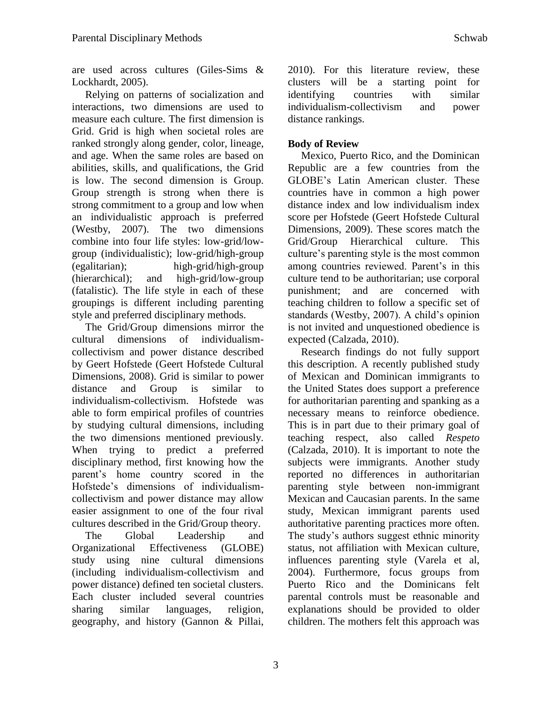are used across cultures (Giles-Sims & Lockhardt, 2005).

 Relying on patterns of socialization and interactions, two dimensions are used to measure each culture. The first dimension is Grid. Grid is high when societal roles are ranked strongly along gender, color, lineage, and age. When the same roles are based on abilities, skills, and qualifications, the Grid is low. The second dimension is Group. Group strength is strong when there is strong commitment to a group and low when an individualistic approach is preferred (Westby, 2007). The two dimensions combine into four life styles: low-grid/lowgroup (individualistic); low-grid/high-group (egalitarian); high-grid/high-group (hierarchical); and high-grid/low-group (fatalistic). The life style in each of these groupings is different including parenting style and preferred disciplinary methods.

 The Grid/Group dimensions mirror the cultural dimensions of individualismcollectivism and power distance described by Geert Hofstede (Geert Hofstede Cultural Dimensions, 2008). Grid is similar to power distance and Group is similar to individualism-collectivism. Hofstede was able to form empirical profiles of countries by studying cultural dimensions, including the two dimensions mentioned previously. When trying to predict a preferred disciplinary method, first knowing how the parent's home country scored in the Hofstede's dimensions of individualismcollectivism and power distance may allow easier assignment to one of the four rival cultures described in the Grid/Group theory.

 The Global Leadership and Organizational Effectiveness (GLOBE) study using nine cultural dimensions (including individualism-collectivism and power distance) defined ten societal clusters. Each cluster included several countries sharing similar languages, religion, geography, and history (Gannon & Pillai, 2010). For this literature review, these clusters will be a starting point for identifying countries with similar individualism-collectivism and power distance rankings.

## **Body of Review**

 Mexico, Puerto Rico, and the Dominican Republic are a few countries from the GLOBE's Latin American cluster. These countries have in common a high power distance index and low individualism index score per Hofstede (Geert Hofstede Cultural Dimensions, 2009). These scores match the Grid/Group Hierarchical culture. This culture's parenting style is the most common among countries reviewed. Parent's in this culture tend to be authoritarian; use corporal punishment; and are concerned with teaching children to follow a specific set of standards (Westby, 2007). A child's opinion is not invited and unquestioned obedience is expected (Calzada, 2010).

 Research findings do not fully support this description. A recently published study of Mexican and Dominican immigrants to the United States does support a preference for authoritarian parenting and spanking as a necessary means to reinforce obedience. This is in part due to their primary goal of teaching respect, also called *Respeto* (Calzada, 2010). It is important to note the subjects were immigrants. Another study reported no differences in authoritarian parenting style between non-immigrant Mexican and Caucasian parents. In the same study, Mexican immigrant parents used authoritative parenting practices more often. The study's authors suggest ethnic minority status, not affiliation with Mexican culture, influences parenting style (Varela et al, 2004). Furthermore, focus groups from Puerto Rico and the Dominicans felt parental controls must be reasonable and explanations should be provided to older children. The mothers felt this approach was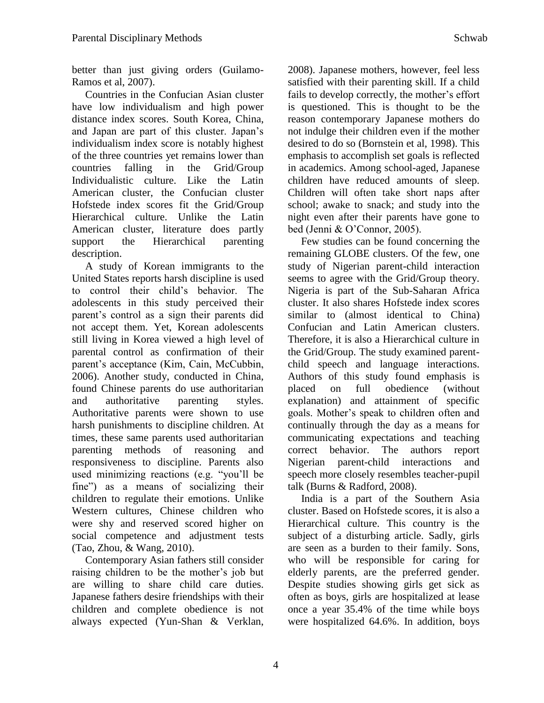better than just giving orders (Guilamo-Ramos et al, 2007).

 Countries in the Confucian Asian cluster have low individualism and high power distance index scores. South Korea, China, and Japan are part of this cluster. Japan's individualism index score is notably highest of the three countries yet remains lower than countries falling in the Grid/Group Individualistic culture. Like the Latin American cluster, the Confucian cluster Hofstede index scores fit the Grid/Group Hierarchical culture. Unlike the Latin American cluster, literature does partly support the Hierarchical parenting description.

 A study of Korean immigrants to the United States reports harsh discipline is used to control their child's behavior. The adolescents in this study perceived their parent's control as a sign their parents did not accept them. Yet, Korean adolescents still living in Korea viewed a high level of parental control as confirmation of their parent's acceptance (Kim, Cain, McCubbin, 2006). Another study, conducted in China, found Chinese parents do use authoritarian and authoritative parenting styles. Authoritative parents were shown to use harsh punishments to discipline children. At times, these same parents used authoritarian parenting methods of reasoning and responsiveness to discipline. Parents also used minimizing reactions (e.g. "you'll be fine") as a means of socializing their children to regulate their emotions. Unlike Western cultures, Chinese children who were shy and reserved scored higher on social competence and adjustment tests (Tao, Zhou, & Wang, 2010).

 Contemporary Asian fathers still consider raising children to be the mother's job but are willing to share child care duties. Japanese fathers desire friendships with their children and complete obedience is not always expected (Yun-Shan & Verklan,

2008). Japanese mothers, however, feel less satisfied with their parenting skill. If a child fails to develop correctly, the mother's effort is questioned. This is thought to be the reason contemporary Japanese mothers do not indulge their children even if the mother desired to do so (Bornstein et al, 1998). This emphasis to accomplish set goals is reflected in academics. Among school-aged, Japanese children have reduced amounts of sleep. Children will often take short naps after school; awake to snack; and study into the night even after their parents have gone to bed (Jenni & O'Connor, 2005).

 Few studies can be found concerning the remaining GLOBE clusters. Of the few, one study of Nigerian parent-child interaction seems to agree with the Grid/Group theory. Nigeria is part of the Sub-Saharan Africa cluster. It also shares Hofstede index scores similar to (almost identical to China) Confucian and Latin American clusters. Therefore, it is also a Hierarchical culture in the Grid/Group. The study examined parentchild speech and language interactions. Authors of this study found emphasis is placed on full obedience (without explanation) and attainment of specific goals. Mother's speak to children often and continually through the day as a means for communicating expectations and teaching correct behavior. The authors report Nigerian parent-child interactions and speech more closely resembles teacher-pupil talk (Burns & Radford, 2008).

 India is a part of the Southern Asia cluster. Based on Hofstede scores, it is also a Hierarchical culture. This country is the subject of a disturbing article. Sadly, girls are seen as a burden to their family. Sons, who will be responsible for caring for elderly parents, are the preferred gender. Despite studies showing girls get sick as often as boys, girls are hospitalized at lease once a year 35.4% of the time while boys were hospitalized 64.6%. In addition, boys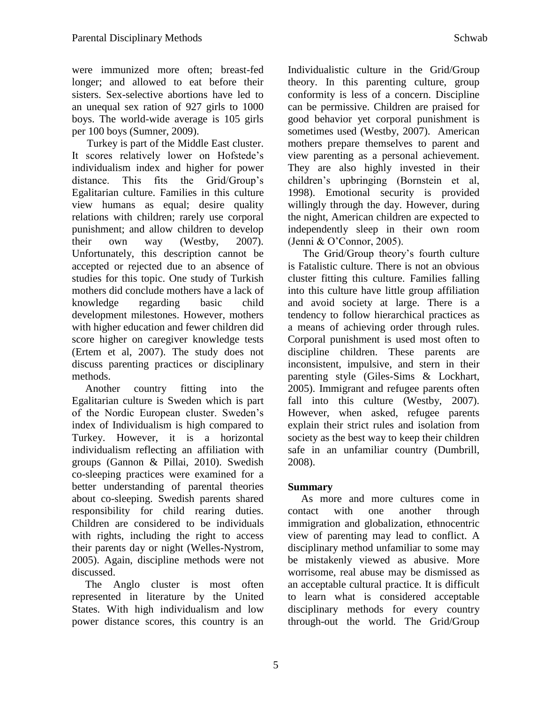were immunized more often; breast-fed longer; and allowed to eat before their sisters. Sex-selective abortions have led to an unequal sex ration of 927 girls to 1000 boys. The world-wide average is 105 girls per 100 boys (Sumner, 2009).

 Turkey is part of the Middle East cluster. It scores relatively lower on Hofstede's individualism index and higher for power distance. This fits the Grid/Group's Egalitarian culture. Families in this culture view humans as equal; desire quality relations with children; rarely use corporal punishment; and allow children to develop their own way (Westby, 2007). Unfortunately, this description cannot be accepted or rejected due to an absence of studies for this topic. One study of Turkish mothers did conclude mothers have a lack of knowledge regarding basic child development milestones. However, mothers with higher education and fewer children did score higher on caregiver knowledge tests (Ertem et al, 2007). The study does not discuss parenting practices or disciplinary methods.

 Another country fitting into the Egalitarian culture is Sweden which is part of the Nordic European cluster. Sweden's index of Individualism is high compared to Turkey. However, it is a horizontal individualism reflecting an affiliation with groups (Gannon & Pillai, 2010). Swedish co-sleeping practices were examined for a better understanding of parental theories about co-sleeping. Swedish parents shared responsibility for child rearing duties. Children are considered to be individuals with rights, including the right to access their parents day or night (Welles-Nystrom, 2005). Again, discipline methods were not discussed.

 The Anglo cluster is most often represented in literature by the United States. With high individualism and low power distance scores, this country is an Individualistic culture in the Grid/Group theory. In this parenting culture, group conformity is less of a concern. Discipline can be permissive. Children are praised for good behavior yet corporal punishment is sometimes used (Westby, 2007). American mothers prepare themselves to parent and view parenting as a personal achievement. They are also highly invested in their children's upbringing (Bornstein et al, 1998). Emotional security is provided willingly through the day. However, during the night, American children are expected to independently sleep in their own room (Jenni & O'Connor, 2005).

 The Grid/Group theory's fourth culture is Fatalistic culture. There is not an obvious cluster fitting this culture. Families falling into this culture have little group affiliation and avoid society at large. There is a tendency to follow hierarchical practices as a means of achieving order through rules. Corporal punishment is used most often to discipline children. These parents are inconsistent, impulsive, and stern in their parenting style (Giles-Sims & Lockhart, 2005). Immigrant and refugee parents often fall into this culture (Westby, 2007). However, when asked, refugee parents explain their strict rules and isolation from society as the best way to keep their children safe in an unfamiliar country (Dumbrill, 2008).

#### **Summary**

 As more and more cultures come in contact with one another through immigration and globalization, ethnocentric view of parenting may lead to conflict. A disciplinary method unfamiliar to some may be mistakenly viewed as abusive. More worrisome, real abuse may be dismissed as an acceptable cultural practice. It is difficult to learn what is considered acceptable disciplinary methods for every country through-out the world. The Grid/Group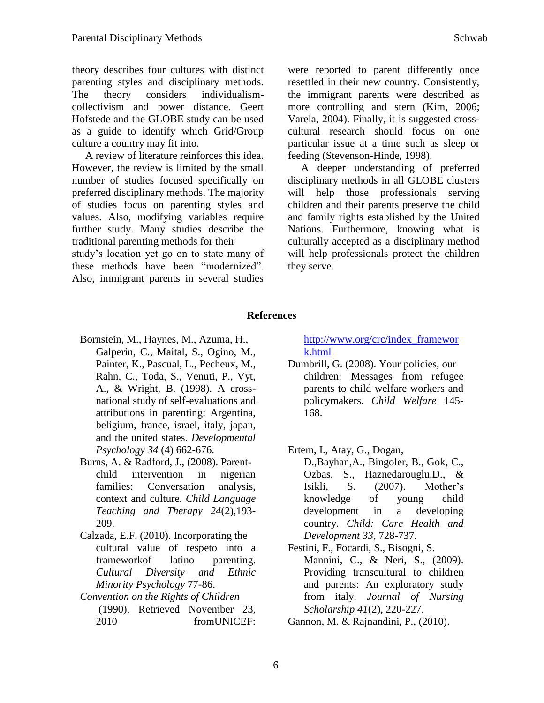theory describes four cultures with distinct parenting styles and disciplinary methods. The theory considers individualismcollectivism and power distance. Geert Hofstede and the GLOBE study can be used as a guide to identify which Grid/Group culture a country may fit into.

 A review of literature reinforces this idea. However, the review is limited by the small number of studies focused specifically on preferred disciplinary methods. The majority of studies focus on parenting styles and values. Also, modifying variables require further study. Many studies describe the traditional parenting methods for their study's location yet go on to state many of these methods have been "modernized". Also, immigrant parents in several studies

were reported to parent differently once resettled in their new country. Consistently, the immigrant parents were described as more controlling and stern (Kim, 2006; Varela, 2004). Finally, it is suggested crosscultural research should focus on one particular issue at a time such as sleep or feeding (Stevenson-Hinde, 1998).

 A deeper understanding of preferred disciplinary methods in all GLOBE clusters will help those professionals serving children and their parents preserve the child and family rights established by the United Nations. Furthermore, knowing what is culturally accepted as a disciplinary method will help professionals protect the children they serve.

### **References**

- Bornstein, M., Haynes, M., Azuma, H., Galperin, C., Maital, S., Ogino, M., Painter, K., Pascual, L., Pecheux, M., Rahn, C., Toda, S., Venuti, P., Vyt, A., & Wright, B. (1998). A crossnational study of self-evaluations and attributions in parenting: Argentina, beligium, france, israel, italy, japan, and the united states. *Developmental Psychology 34* (4) 662-676.
- Burns, A. & Radford, J., (2008). Parentchild intervention in nigerian families: Conversation analysis, context and culture. *Child Language Teaching and Therapy 24*(2),193- 209.
- Calzada, E.F. (2010). Incorporating the cultural value of respeto into a frameworkof latino parenting. *Cultural Diversity and Ethnic Minority Psychology* 77-86.
- *Convention on the Rights of Children* (1990). Retrieved November 23, 2010 fromUNICEF:

[http://www.org/crc/index\\_framewor](http://www.org/crc/index_framework.html) [k.html](http://www.org/crc/index_framework.html)

Dumbrill, G. (2008). Your policies, our children: Messages from refugee parents to child welfare workers and policymakers. *Child Welfare* 145- 168.

## Ertem, I., Atay, G., Dogan,

D.,Bayhan,A., Bingoler, B., Gok, C., Ozbas, S., Haznedarouglu,D., & Isikli, S. (2007). Mother's knowledge of young child development in a developing country. *Child: Care Health and Development 33*, 728-737.

Festini, F., Focardi, S., Bisogni, S. Mannini, C., & Neri, S., (2009). Providing transcultural to children and parents: An exploratory study from italy. *Journal of Nursing Scholarship 41*(2), 220-227.

Gannon, M. & Rajnandini, P., (2010).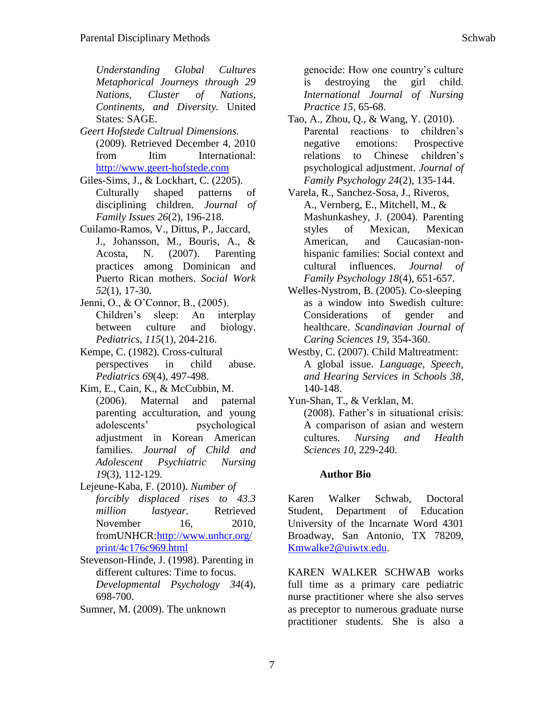*Understanding Global Cultures Metaphorical Journeys through 29 Nations, Cluster of Nations, Continents, and Diversity.* United States: SAGE.

- *Geert Hofstede Cultrual Dimensions.* (2009). Retrieved December 4, 2010 from Itim International: [http://www.geert-hofstede.com](http://www.geert-hofstede.com/)
- Giles-Sims, J., & Lockhart, C. (2205). Culturally shaped patterns of disciplining children. *Journal of Family Issues 26*(2), 196-218.
- Cuilamo-Ramos, V., Dittus, P., Jaccard, J., Johansson, M., Bouris, A., & Acosta, N. (2007). Parenting practices among Dominican and Puerto Rican mothers. *Social Work 52*(1), 17-30.
- Jenni, O., & O'Connor, B., (2005). Children's sleep: An interplay between culture and biology. *Pediatrics, 115*(1), 204-216.
- Kempe, C. (1982). Cross-cultural perspectives in child abuse. *Pediatrics 69*(4), 497-498.
- Kim, E., Cain, K., & McCubbin, M. (2006). Maternal and paternal parenting acculturation, and young adolescents' psychological adjustment in Korean American families. *Journal of Child and Adolescent Psychiatric Nursing 19*(3), 112-129.
- Lejeune-Kaba, F. (2010). *Number of forcibly displaced rises to 43.3 million lastyear.* Retrieved November 16, 2010, fromUNHCR[:http://www.unhcr.org/](http://www.unhcr.org/print/4c176c969.html) [print/4c176c969.html](http://www.unhcr.org/print/4c176c969.html)
- Stevenson-Hinde, J. (1998). Parenting in different cultures: Time to focus. *Developmental Psychology 34*(4), 698-700.
- Sumner, M. (2009). The unknown

genocide: How one country's culture is destroying the girl child. *International Journal of Nursing Practice 15*, 65-68.

- Tao, A., Zhou, Q., & Wang, Y. (2010). Parental reactions to children's negative emotions: Prospective relations to Chinese children's psychological adjustment. *Journal of Family Psychology 24*(2), 135-144.
- Varela, R., Sanchez-Sosa, J., Riveros, A., Vernberg, E., Mitchell, M., & Mashunkashey, J. (2004). Parenting styles of Mexican, Mexican American, and Caucasian-nonhispanic families: Social context and cultural influences. *Journal of Family Psychology 18*(4), 651-657.
- Welles-Nystrom, B. (2005). Co-sleeping as a window into Swedish culture: Considerations of gender and healthcare. *Scandinavian Journal of Caring Sciences 19*, 354-360.
- Westby, C. (2007). Child Maltreatment: A global issue. *Language, Speech, and Hearing Services in Schools 38*, 140-148.
- Yun-Shan, T., & Verklan, M. (2008). Father's in situational crisis: A comparison of asian and western cultures. *Nursing and Health Sciences 10*, 229-240.

#### **Author Bio**

Karen Walker Schwab, Doctoral Student, Department of Education University of the Incarnate Word 4301 Broadway, San Antonio, TX 78209, [Kmwalke2@uiwtx.edu.](mailto:Kmwalke2@uiwtx.edu)

KAREN WALKER SCHWAB works full time as a primary care pediatric nurse practitioner where she also serves as preceptor to numerous graduate nurse practitioner students. She is also a